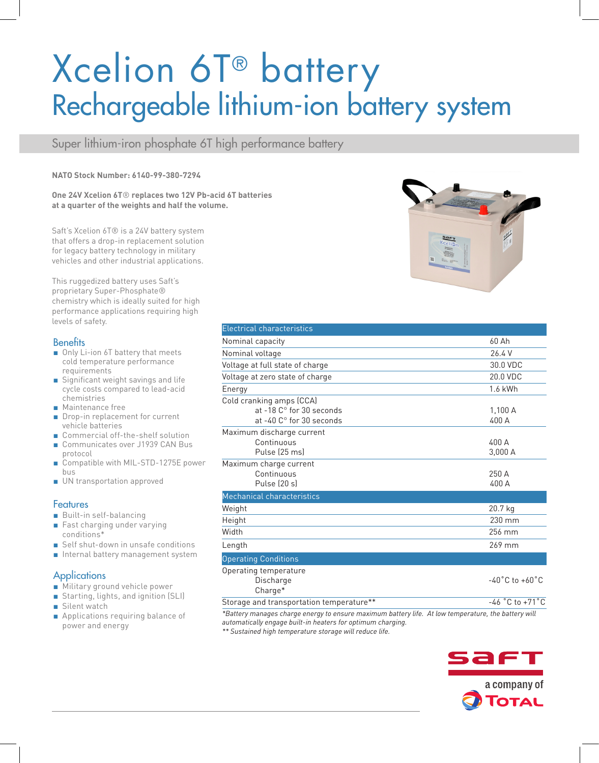# Xcelion 6T® battery Rechargeable lithium-ion battery system

Super lithium-iron phosphate 6T high performance battery

#### **NATO Stock Number: 6140-99-380-7294**

**One 24V Xcelion 6T**® **replaces two 12V Pb-acid 6T batteries at a quarter of the weights and half the volume.** 

Saft's Xcelion 6T® is a 24V battery system that offers a drop-in replacement solution for legacy battery technology in military vehicles and other industrial applications.

This ruggedized battery uses Saft's proprietary Super-Phosphate® chemistry which is ideally suited for high performance applications requiring high levels of safety.

### **Benefits**

- Only Li-ion 6T battery that meets cold temperature performance requirements
- Significant weight savings and life cycle costs compared to lead-acid chemistries
- Maintenance free
- Drop-in replacement for current vehicle batteries
- Commercial off-the-shelf solution
- Communicates over J1939 CAN Bus protocol
- Compatible with MIL-STD-1275E power bus
- UN transportation approved

### **Features**

- Built-in self-balancing
- Fast charging under varying conditions\*
- Self shut-down in unsafe conditions
- Internal battery management system

### **Applications**

- Military ground vehicle power
- Starting, lights, and ignition (SLI)
- Silent watch
- Applications requiring balance of power and energy



| <b>Electrical characteristics</b>                                                     |                                    |
|---------------------------------------------------------------------------------------|------------------------------------|
| Nominal capacity                                                                      | 60 Ah                              |
| Nominal voltage                                                                       | 26.4 V                             |
| Voltage at full state of charge                                                       | 30.0 VDC                           |
| Voltage at zero state of charge                                                       | 20.0 VDC                           |
| Energy                                                                                | 1.6 kWh                            |
| Cold cranking amps (CCA)<br>at -18 C° for 30 seconds<br>at $-40^\circ$ for 30 seconds | 1,100A<br>400 A                    |
| Maximum discharge current<br>Continuous<br>Pulse (25 ms)                              | 400 A<br>3,000 A                   |
| Maximum charge current<br>Continuous<br>Pulse (20 s)                                  | 250 A<br>400 A                     |
| Mechanical characteristics                                                            |                                    |
| Weight                                                                                | 20.7 kg                            |
| Height                                                                                | 230 mm                             |
| Width                                                                                 | 256 mm                             |
| Length                                                                                | 269 mm                             |
| <b>Operating Conditions</b>                                                           |                                    |
| Operating temperature<br>Discharge<br>Charge*                                         | $-40^{\circ}$ C to $+60^{\circ}$ C |
| Storage and transportation temperature**                                              | $-46$ °C to +71 °C                 |

*\*Battery manages charge energy to ensure maximum battery life. At low temperature, the battery will automatically engage built-in heaters for optimum charging.*

*\*\* Sustained high temperature storage will reduce life.*